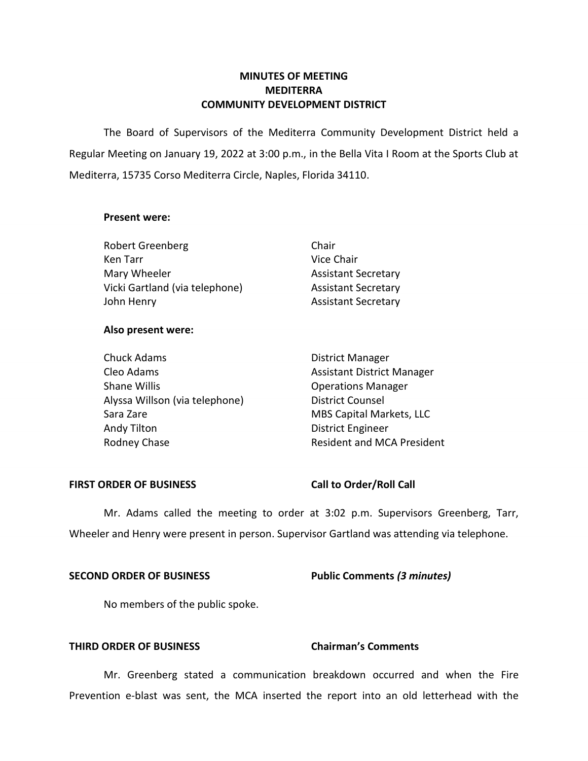## **MINUTES OF MEETING MEDITERRA COMMUNITY DEVELOPMENT DISTRICT**

The Board of Supervisors of the Mediterra Community Development District held a Regular Meeting on January 19, 2022 at 3:00 p.m., in the Bella Vita I Room at the Sports Club at Mediterra, 15735 Corso Mediterra Circle, Naples, Florida 34110.

### **Present were:**

| <b>Robert Greenberg</b>        | Chair                      |
|--------------------------------|----------------------------|
| Ken Tarr                       | Vice Chair                 |
| Mary Wheeler                   | <b>Assistant Secretary</b> |
| Vicki Gartland (via telephone) | <b>Assistant Secretary</b> |
| John Henry                     | <b>Assistant Secretary</b> |

## **Also present were:**

| <b>Chuck Adams</b>             | <b>District Manager</b>           |
|--------------------------------|-----------------------------------|
| Cleo Adams                     | <b>Assistant District Manager</b> |
| <b>Shane Willis</b>            | <b>Operations Manager</b>         |
| Alyssa Willson (via telephone) | <b>District Counsel</b>           |
| Sara Zare                      | MBS Capital Markets, LLC          |
| Andy Tilton                    | <b>District Engineer</b>          |
| Rodney Chase                   | <b>Resident and MCA President</b> |
|                                |                                   |

## **FIRST ORDER OF BUSINESS Call to Order/Roll Call**

Mr. Adams called the meeting to order at 3:02 p.m. Supervisors Greenberg, Tarr, Wheeler and Henry were present in person. Supervisor Gartland was attending via telephone.

## **SECOND ORDER OF BUSINESS Public Comments** *(3 minutes)*

No members of the public spoke.

## **THIRD ORDER OF BUSINESS Chairman's Comments**

Mr. Greenberg stated a communication breakdown occurred and when the Fire Prevention e-blast was sent, the MCA inserted the report into an old letterhead with the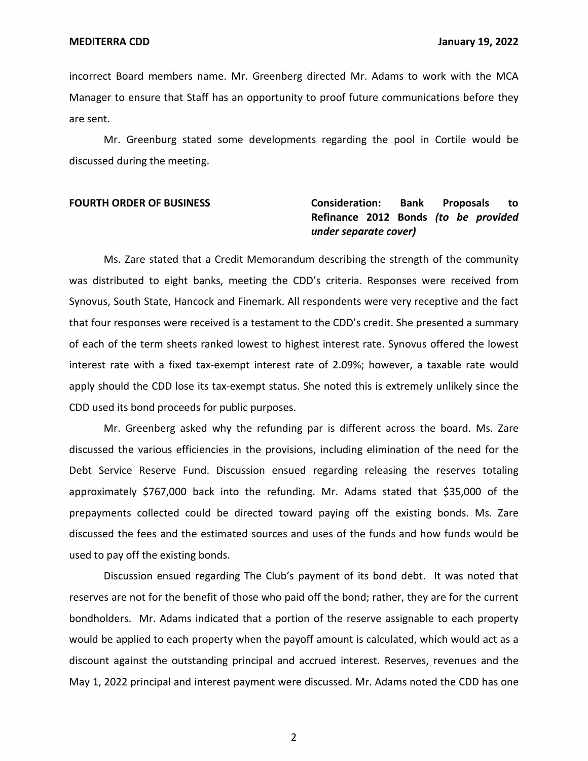incorrect Board members name. Mr. Greenberg directed Mr. Adams to work with the MCA Manager to ensure that Staff has an opportunity to proof future communications before they are sent.

Mr. Greenburg stated some developments regarding the pool in Cortile would be discussed during the meeting.

## **FOURTH ORDER OF BUSINESS Consideration: Bank Proposals to Refinance 2012 Bonds** *(to be provided under separate cover)*

Ms. Zare stated that a Credit Memorandum describing the strength of the community was distributed to eight banks, meeting the CDD's criteria. Responses were received from Synovus, South State, Hancock and Finemark. All respondents were very receptive and the fact that four responses were received is a testament to the CDD's credit. She presented a summary of each of the term sheets ranked lowest to highest interest rate. Synovus offered the lowest interest rate with a fixed tax-exempt interest rate of 2.09%; however, a taxable rate would apply should the CDD lose its tax-exempt status. She noted this is extremely unlikely since the CDD used its bond proceeds for public purposes.

Mr. Greenberg asked why the refunding par is different across the board. Ms. Zare discussed the various efficiencies in the provisions, including elimination of the need for the Debt Service Reserve Fund. Discussion ensued regarding releasing the reserves totaling approximately \$767,000 back into the refunding. Mr. Adams stated that \$35,000 of the prepayments collected could be directed toward paying off the existing bonds. Ms. Zare discussed the fees and the estimated sources and uses of the funds and how funds would be used to pay off the existing bonds.

Discussion ensued regarding The Club's payment of its bond debt. It was noted that reserves are not for the benefit of those who paid off the bond; rather, they are for the current bondholders. Mr. Adams indicated that a portion of the reserve assignable to each property would be applied to each property when the payoff amount is calculated, which would act as a discount against the outstanding principal and accrued interest. Reserves, revenues and the May 1, 2022 principal and interest payment were discussed. Mr. Adams noted the CDD has one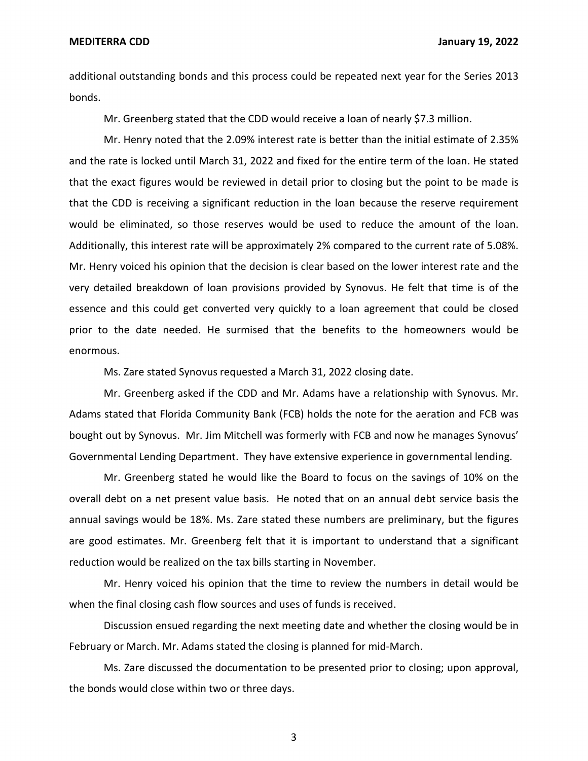additional outstanding bonds and this process could be repeated next year for the Series 2013 bonds.

Mr. Greenberg stated that the CDD would receive a loan of nearly \$7.3 million.

Mr. Henry noted that the 2.09% interest rate is better than the initial estimate of 2.35% and the rate is locked until March 31, 2022 and fixed for the entire term of the loan. He stated that the exact figures would be reviewed in detail prior to closing but the point to be made is that the CDD is receiving a significant reduction in the loan because the reserve requirement would be eliminated, so those reserves would be used to reduce the amount of the loan. Additionally, this interest rate will be approximately 2% compared to the current rate of 5.08%. Mr. Henry voiced his opinion that the decision is clear based on the lower interest rate and the very detailed breakdown of loan provisions provided by Synovus. He felt that time is of the essence and this could get converted very quickly to a loan agreement that could be closed prior to the date needed. He surmised that the benefits to the homeowners would be enormous.

Ms. Zare stated Synovus requested a March 31, 2022 closing date.

Mr. Greenberg asked if the CDD and Mr. Adams have a relationship with Synovus. Mr. Adams stated that Florida Community Bank (FCB) holds the note for the aeration and FCB was bought out by Synovus. Mr. Jim Mitchell was formerly with FCB and now he manages Synovus' Governmental Lending Department. They have extensive experience in governmental lending.

Mr. Greenberg stated he would like the Board to focus on the savings of 10% on the overall debt on a net present value basis. He noted that on an annual debt service basis the annual savings would be 18%. Ms. Zare stated these numbers are preliminary, but the figures are good estimates. Mr. Greenberg felt that it is important to understand that a significant reduction would be realized on the tax bills starting in November.

Mr. Henry voiced his opinion that the time to review the numbers in detail would be when the final closing cash flow sources and uses of funds is received.

Discussion ensued regarding the next meeting date and whether the closing would be in February or March. Mr. Adams stated the closing is planned for mid-March.

Ms. Zare discussed the documentation to be presented prior to closing; upon approval, the bonds would close within two or three days.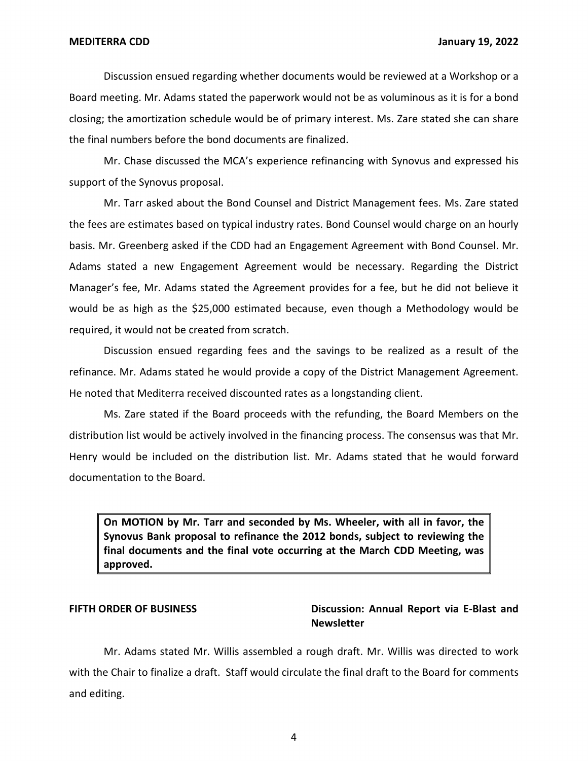Discussion ensued regarding whether documents would be reviewed at a Workshop or a Board meeting. Mr. Adams stated the paperwork would not be as voluminous as it is for a bond closing; the amortization schedule would be of primary interest. Ms. Zare stated she can share the final numbers before the bond documents are finalized.

Mr. Chase discussed the MCA's experience refinancing with Synovus and expressed his support of the Synovus proposal.

Mr. Tarr asked about the Bond Counsel and District Management fees. Ms. Zare stated the fees are estimates based on typical industry rates. Bond Counsel would charge on an hourly basis. Mr. Greenberg asked if the CDD had an Engagement Agreement with Bond Counsel. Mr. Adams stated a new Engagement Agreement would be necessary. Regarding the District Manager's fee, Mr. Adams stated the Agreement provides for a fee, but he did not believe it would be as high as the \$25,000 estimated because, even though a Methodology would be required, it would not be created from scratch.

Discussion ensued regarding fees and the savings to be realized as a result of the refinance. Mr. Adams stated he would provide a copy of the District Management Agreement. He noted that Mediterra received discounted rates as a longstanding client.

Ms. Zare stated if the Board proceeds with the refunding, the Board Members on the distribution list would be actively involved in the financing process. The consensus was that Mr. Henry would be included on the distribution list. Mr. Adams stated that he would forward documentation to the Board.

**On MOTION by Mr. Tarr and seconded by Ms. Wheeler, with all in favor, the Synovus Bank proposal to refinance the 2012 bonds, subject to reviewing the final documents and the final vote occurring at the March CDD Meeting, was approved.**

## **FIFTH ORDER OF BUSINESS Discussion: Annual Report via E-Blast and Newsletter**

Mr. Adams stated Mr. Willis assembled a rough draft. Mr. Willis was directed to work with the Chair to finalize a draft. Staff would circulate the final draft to the Board for comments and editing.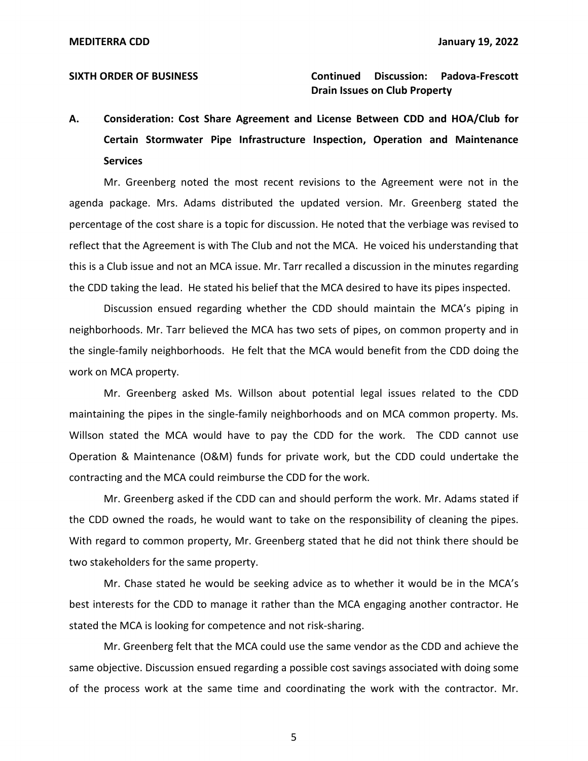**SIXTH ORDER OF BUSINESS Continued Discussion: Padova-Frescott Drain Issues on Club Property**

# **A. Consideration: Cost Share Agreement and License Between CDD and HOA/Club for Certain Stormwater Pipe Infrastructure Inspection, Operation and Maintenance Services**

Mr. Greenberg noted the most recent revisions to the Agreement were not in the agenda package. Mrs. Adams distributed the updated version. Mr. Greenberg stated the percentage of the cost share is a topic for discussion. He noted that the verbiage was revised to reflect that the Agreement is with The Club and not the MCA. He voiced his understanding that this is a Club issue and not an MCA issue. Mr. Tarr recalled a discussion in the minutes regarding the CDD taking the lead. He stated his belief that the MCA desired to have its pipes inspected.

Discussion ensued regarding whether the CDD should maintain the MCA's piping in neighborhoods. Mr. Tarr believed the MCA has two sets of pipes, on common property and in the single-family neighborhoods. He felt that the MCA would benefit from the CDD doing the work on MCA property.

Mr. Greenberg asked Ms. Willson about potential legal issues related to the CDD maintaining the pipes in the single-family neighborhoods and on MCA common property. Ms. Willson stated the MCA would have to pay the CDD for the work. The CDD cannot use Operation & Maintenance (O&M) funds for private work, but the CDD could undertake the contracting and the MCA could reimburse the CDD for the work.

Mr. Greenberg asked if the CDD can and should perform the work. Mr. Adams stated if the CDD owned the roads, he would want to take on the responsibility of cleaning the pipes. With regard to common property, Mr. Greenberg stated that he did not think there should be two stakeholders for the same property.

Mr. Chase stated he would be seeking advice as to whether it would be in the MCA's best interests for the CDD to manage it rather than the MCA engaging another contractor. He stated the MCA is looking for competence and not risk-sharing.

Mr. Greenberg felt that the MCA could use the same vendor as the CDD and achieve the same objective. Discussion ensued regarding a possible cost savings associated with doing some of the process work at the same time and coordinating the work with the contractor. Mr.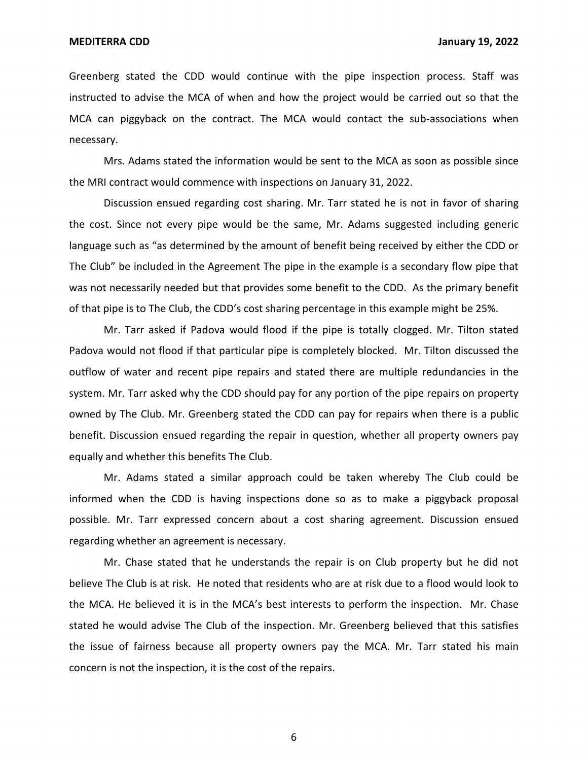Greenberg stated the CDD would continue with the pipe inspection process. Staff was instructed to advise the MCA of when and how the project would be carried out so that the MCA can piggyback on the contract. The MCA would contact the sub-associations when necessary.

Mrs. Adams stated the information would be sent to the MCA as soon as possible since the MRI contract would commence with inspections on January 31, 2022.

Discussion ensued regarding cost sharing. Mr. Tarr stated he is not in favor of sharing the cost. Since not every pipe would be the same, Mr. Adams suggested including generic language such as "as determined by the amount of benefit being received by either the CDD or The Club" be included in the Agreement The pipe in the example is a secondary flow pipe that was not necessarily needed but that provides some benefit to the CDD. As the primary benefit of that pipe is to The Club, the CDD's cost sharing percentage in this example might be 25%.

Mr. Tarr asked if Padova would flood if the pipe is totally clogged. Mr. Tilton stated Padova would not flood if that particular pipe is completely blocked. Mr. Tilton discussed the outflow of water and recent pipe repairs and stated there are multiple redundancies in the system. Mr. Tarr asked why the CDD should pay for any portion of the pipe repairs on property owned by The Club. Mr. Greenberg stated the CDD can pay for repairs when there is a public benefit. Discussion ensued regarding the repair in question, whether all property owners pay equally and whether this benefits The Club.

Mr. Adams stated a similar approach could be taken whereby The Club could be informed when the CDD is having inspections done so as to make a piggyback proposal possible. Mr. Tarr expressed concern about a cost sharing agreement. Discussion ensued regarding whether an agreement is necessary.

Mr. Chase stated that he understands the repair is on Club property but he did not believe The Club is at risk. He noted that residents who are at risk due to a flood would look to the MCA. He believed it is in the MCA's best interests to perform the inspection. Mr. Chase stated he would advise The Club of the inspection. Mr. Greenberg believed that this satisfies the issue of fairness because all property owners pay the MCA. Mr. Tarr stated his main concern is not the inspection, it is the cost of the repairs.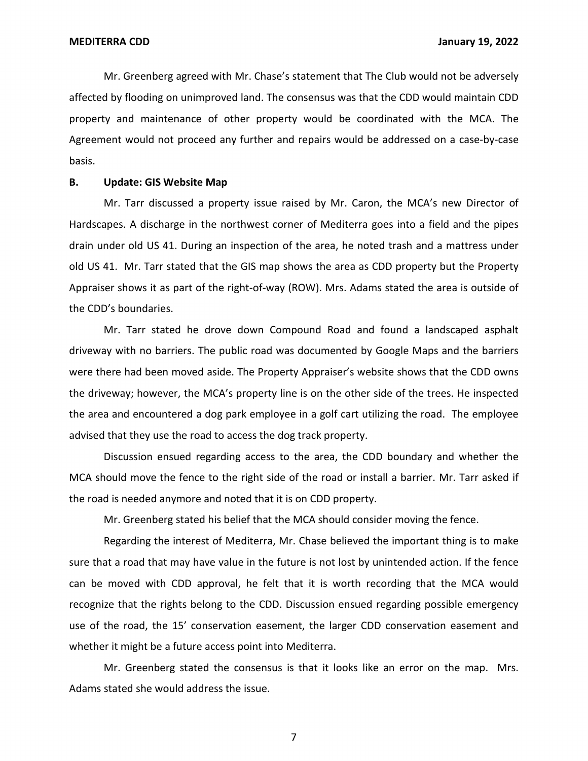Mr. Greenberg agreed with Mr. Chase's statement that The Club would not be adversely affected by flooding on unimproved land. The consensus was that the CDD would maintain CDD property and maintenance of other property would be coordinated with the MCA. The Agreement would not proceed any further and repairs would be addressed on a case-by-case basis.

### **B. Update: GIS Website Map**

Mr. Tarr discussed a property issue raised by Mr. Caron, the MCA's new Director of Hardscapes. A discharge in the northwest corner of Mediterra goes into a field and the pipes drain under old US 41. During an inspection of the area, he noted trash and a mattress under old US 41. Mr. Tarr stated that the GIS map shows the area as CDD property but the Property Appraiser shows it as part of the right-of-way (ROW). Mrs. Adams stated the area is outside of the CDD's boundaries.

Mr. Tarr stated he drove down Compound Road and found a landscaped asphalt driveway with no barriers. The public road was documented by Google Maps and the barriers were there had been moved aside. The Property Appraiser's website shows that the CDD owns the driveway; however, the MCA's property line is on the other side of the trees. He inspected the area and encountered a dog park employee in a golf cart utilizing the road. The employee advised that they use the road to access the dog track property.

Discussion ensued regarding access to the area, the CDD boundary and whether the MCA should move the fence to the right side of the road or install a barrier. Mr. Tarr asked if the road is needed anymore and noted that it is on CDD property.

Mr. Greenberg stated his belief that the MCA should consider moving the fence.

Regarding the interest of Mediterra, Mr. Chase believed the important thing is to make sure that a road that may have value in the future is not lost by unintended action. If the fence can be moved with CDD approval, he felt that it is worth recording that the MCA would recognize that the rights belong to the CDD. Discussion ensued regarding possible emergency use of the road, the 15' conservation easement, the larger CDD conservation easement and whether it might be a future access point into Mediterra.

Mr. Greenberg stated the consensus is that it looks like an error on the map. Mrs. Adams stated she would address the issue.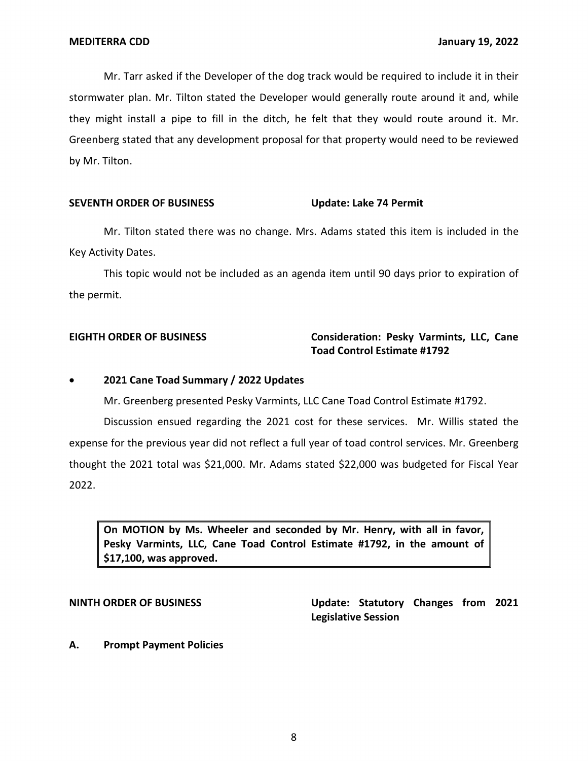Mr. Tarr asked if the Developer of the dog track would be required to include it in their stormwater plan. Mr. Tilton stated the Developer would generally route around it and, while they might install a pipe to fill in the ditch, he felt that they would route around it. Mr. Greenberg stated that any development proposal for that property would need to be reviewed by Mr. Tilton.

## **SEVENTH ORDER OF BUSINESS Update: Lake 74 Permit**

Mr. Tilton stated there was no change. Mrs. Adams stated this item is included in the Key Activity Dates.

This topic would not be included as an agenda item until 90 days prior to expiration of the permit.

## **EIGHTH ORDER OF BUSINESS Consideration: Pesky Varmints, LLC, Cane Toad Control Estimate #1792**

## • **2021 Cane Toad Summary / 2022 Updates**

Mr. Greenberg presented Pesky Varmints, LLC Cane Toad Control Estimate #1792.

Discussion ensued regarding the 2021 cost for these services. Mr. Willis stated the expense for the previous year did not reflect a full year of toad control services. Mr. Greenberg thought the 2021 total was \$21,000. Mr. Adams stated \$22,000 was budgeted for Fiscal Year 2022.

**On MOTION by Ms. Wheeler and seconded by Mr. Henry, with all in favor, Pesky Varmints, LLC, Cane Toad Control Estimate #1792, in the amount of \$17,100, was approved.**

**NINTH ORDER OF BUSINESS Update: Statutory Changes from 2021 Legislative Session**

**A. Prompt Payment Policies**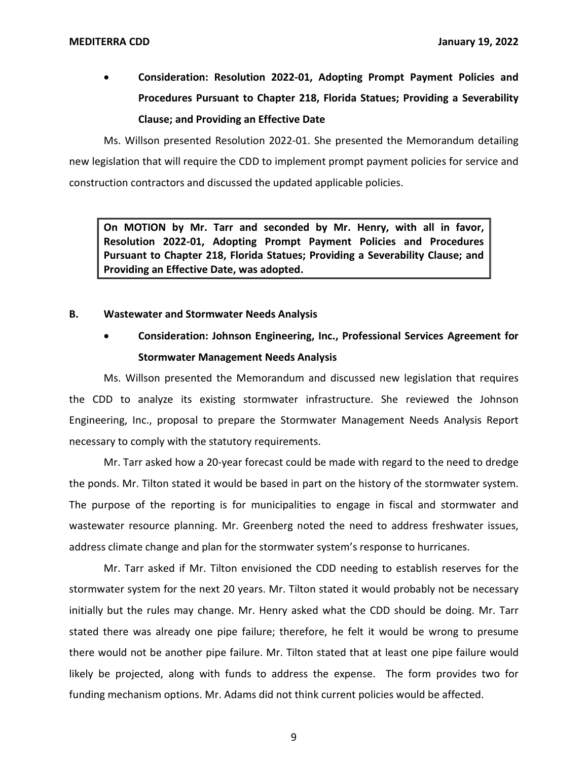• **Consideration: Resolution 2022-01, Adopting Prompt Payment Policies and Procedures Pursuant to Chapter 218, Florida Statues; Providing a Severability Clause; and Providing an Effective Date**

Ms. Willson presented Resolution 2022-01. She presented the Memorandum detailing new legislation that will require the CDD to implement prompt payment policies for service and construction contractors and discussed the updated applicable policies.

**On MOTION by Mr. Tarr and seconded by Mr. Henry, with all in favor, Resolution 2022-01, Adopting Prompt Payment Policies and Procedures Pursuant to Chapter 218, Florida Statues; Providing a Severability Clause; and Providing an Effective Date, was adopted.**

## **B. Wastewater and Stormwater Needs Analysis**

# • **Consideration: Johnson Engineering, Inc., Professional Services Agreement for Stormwater Management Needs Analysis**

Ms. Willson presented the Memorandum and discussed new legislation that requires the CDD to analyze its existing stormwater infrastructure. She reviewed the Johnson Engineering, Inc., proposal to prepare the Stormwater Management Needs Analysis Report necessary to comply with the statutory requirements.

Mr. Tarr asked how a 20-year forecast could be made with regard to the need to dredge the ponds. Mr. Tilton stated it would be based in part on the history of the stormwater system. The purpose of the reporting is for municipalities to engage in fiscal and stormwater and wastewater resource planning. Mr. Greenberg noted the need to address freshwater issues, address climate change and plan for the stormwater system's response to hurricanes.

Mr. Tarr asked if Mr. Tilton envisioned the CDD needing to establish reserves for the stormwater system for the next 20 years. Mr. Tilton stated it would probably not be necessary initially but the rules may change. Mr. Henry asked what the CDD should be doing. Mr. Tarr stated there was already one pipe failure; therefore, he felt it would be wrong to presume there would not be another pipe failure. Mr. Tilton stated that at least one pipe failure would likely be projected, along with funds to address the expense. The form provides two for funding mechanism options. Mr. Adams did not think current policies would be affected.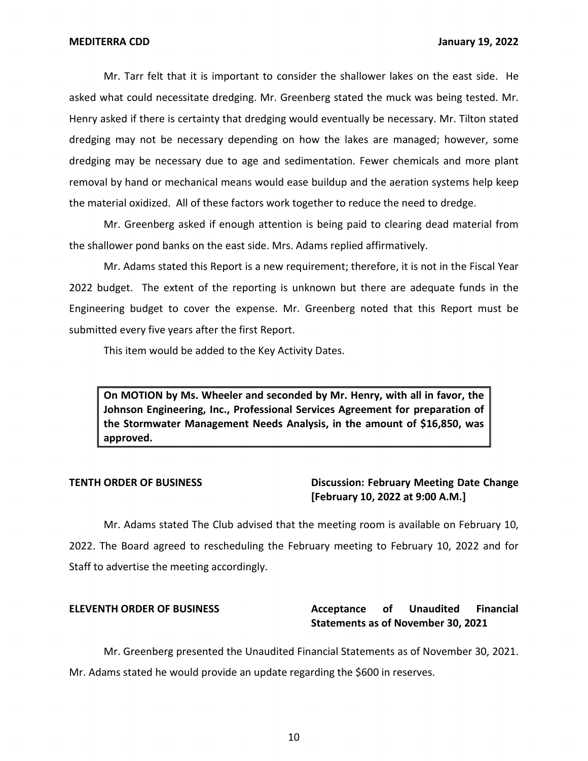Mr. Tarr felt that it is important to consider the shallower lakes on the east side. He asked what could necessitate dredging. Mr. Greenberg stated the muck was being tested. Mr. Henry asked if there is certainty that dredging would eventually be necessary. Mr. Tilton stated dredging may not be necessary depending on how the lakes are managed; however, some dredging may be necessary due to age and sedimentation. Fewer chemicals and more plant removal by hand or mechanical means would ease buildup and the aeration systems help keep the material oxidized. All of these factors work together to reduce the need to dredge.

Mr. Greenberg asked if enough attention is being paid to clearing dead material from the shallower pond banks on the east side. Mrs. Adams replied affirmatively.

Mr. Adams stated this Report is a new requirement; therefore, it is not in the Fiscal Year 2022 budget. The extent of the reporting is unknown but there are adequate funds in the Engineering budget to cover the expense. Mr. Greenberg noted that this Report must be submitted every five years after the first Report.

This item would be added to the Key Activity Dates.

**On MOTION by Ms. Wheeler and seconded by Mr. Henry, with all in favor, the Johnson Engineering, Inc., Professional Services Agreement for preparation of the Stormwater Management Needs Analysis, in the amount of \$16,850, was approved.**

## **TENTH ORDER OF BUSINESS Discussion: February Meeting Date Change [February 10, 2022 at 9:00 A.M.]**

Mr. Adams stated The Club advised that the meeting room is available on February 10, 2022. The Board agreed to rescheduling the February meeting to February 10, 2022 and for Staff to advertise the meeting accordingly.

## **ELEVENTH ORDER OF BUSINESS Acceptance of Unaudited Financial Statements as of November 30, 2021**

Mr. Greenberg presented the Unaudited Financial Statements as of November 30, 2021. Mr. Adams stated he would provide an update regarding the \$600 in reserves.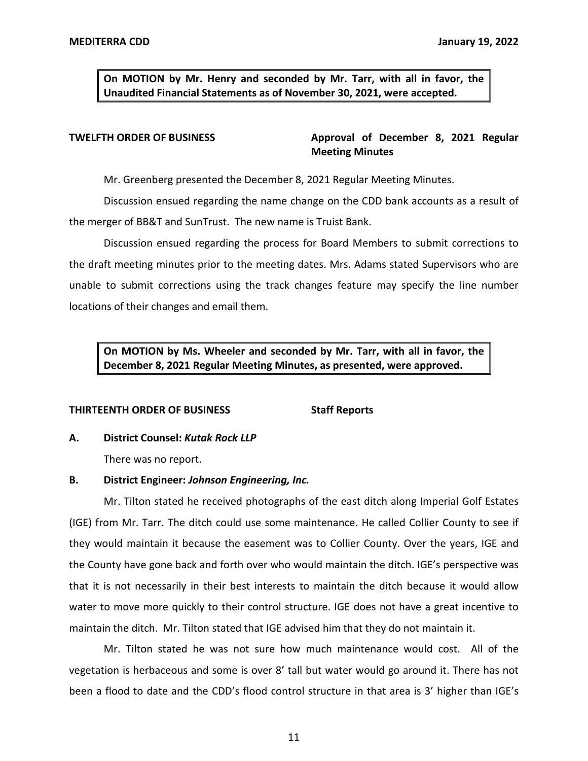**On MOTION by Mr. Henry and seconded by Mr. Tarr, with all in favor, the Unaudited Financial Statements as of November 30, 2021, were accepted.**

**TWELFTH ORDER OF BUSINESS Approval of December 8, 2021 Regular Meeting Minutes**

Mr. Greenberg presented the December 8, 2021 Regular Meeting Minutes.

Discussion ensued regarding the name change on the CDD bank accounts as a result of the merger of BB&T and SunTrust. The new name is Truist Bank.

Discussion ensued regarding the process for Board Members to submit corrections to the draft meeting minutes prior to the meeting dates. Mrs. Adams stated Supervisors who are unable to submit corrections using the track changes feature may specify the line number locations of their changes and email them.

**On MOTION by Ms. Wheeler and seconded by Mr. Tarr, with all in favor, the December 8, 2021 Regular Meeting Minutes, as presented, were approved.**

## **THIRTEENTH ORDER OF BUSINESS Staff Reports**

## **A. District Counsel:** *Kutak Rock LLP*

There was no report.

## **B. District Engineer:** *Johnson Engineering, Inc.*

Mr. Tilton stated he received photographs of the east ditch along Imperial Golf Estates (IGE) from Mr. Tarr. The ditch could use some maintenance. He called Collier County to see if they would maintain it because the easement was to Collier County. Over the years, IGE and the County have gone back and forth over who would maintain the ditch. IGE's perspective was that it is not necessarily in their best interests to maintain the ditch because it would allow water to move more quickly to their control structure. IGE does not have a great incentive to maintain the ditch. Mr. Tilton stated that IGE advised him that they do not maintain it.

Mr. Tilton stated he was not sure how much maintenance would cost. All of the vegetation is herbaceous and some is over 8' tall but water would go around it. There has not been a flood to date and the CDD's flood control structure in that area is 3' higher than IGE's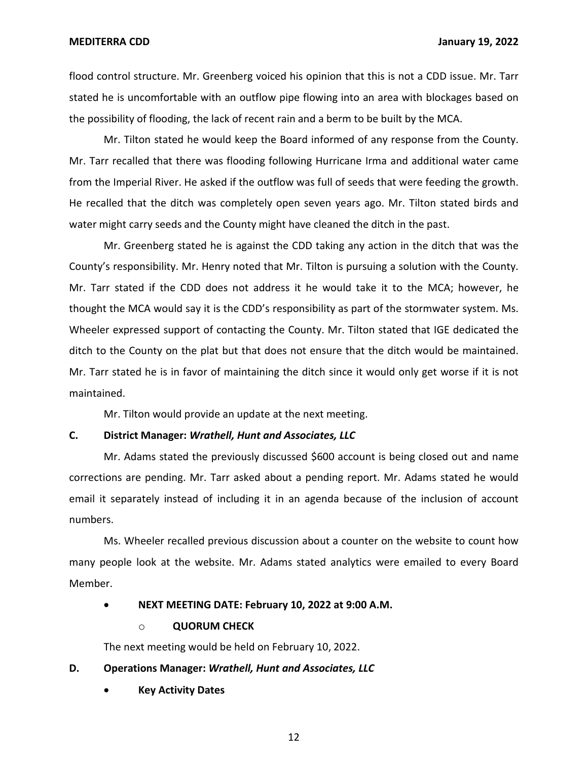flood control structure. Mr. Greenberg voiced his opinion that this is not a CDD issue. Mr. Tarr stated he is uncomfortable with an outflow pipe flowing into an area with blockages based on the possibility of flooding, the lack of recent rain and a berm to be built by the MCA.

Mr. Tilton stated he would keep the Board informed of any response from the County. Mr. Tarr recalled that there was flooding following Hurricane Irma and additional water came from the Imperial River. He asked if the outflow was full of seeds that were feeding the growth. He recalled that the ditch was completely open seven years ago. Mr. Tilton stated birds and water might carry seeds and the County might have cleaned the ditch in the past.

Mr. Greenberg stated he is against the CDD taking any action in the ditch that was the County's responsibility. Mr. Henry noted that Mr. Tilton is pursuing a solution with the County. Mr. Tarr stated if the CDD does not address it he would take it to the MCA; however, he thought the MCA would say it is the CDD's responsibility as part of the stormwater system. Ms. Wheeler expressed support of contacting the County. Mr. Tilton stated that IGE dedicated the ditch to the County on the plat but that does not ensure that the ditch would be maintained. Mr. Tarr stated he is in favor of maintaining the ditch since it would only get worse if it is not maintained.

Mr. Tilton would provide an update at the next meeting.

## **C. District Manager:** *Wrathell, Hunt and Associates, LLC*

Mr. Adams stated the previously discussed \$600 account is being closed out and name corrections are pending. Mr. Tarr asked about a pending report. Mr. Adams stated he would email it separately instead of including it in an agenda because of the inclusion of account numbers.

Ms. Wheeler recalled previous discussion about a counter on the website to count how many people look at the website. Mr. Adams stated analytics were emailed to every Board Member.

## • **NEXT MEETING DATE: February 10, 2022 at 9:00 A.M.**

### o **QUORUM CHECK**

The next meeting would be held on February 10, 2022.

## **D. Operations Manager:** *Wrathell, Hunt and Associates, LLC*

• **Key Activity Dates**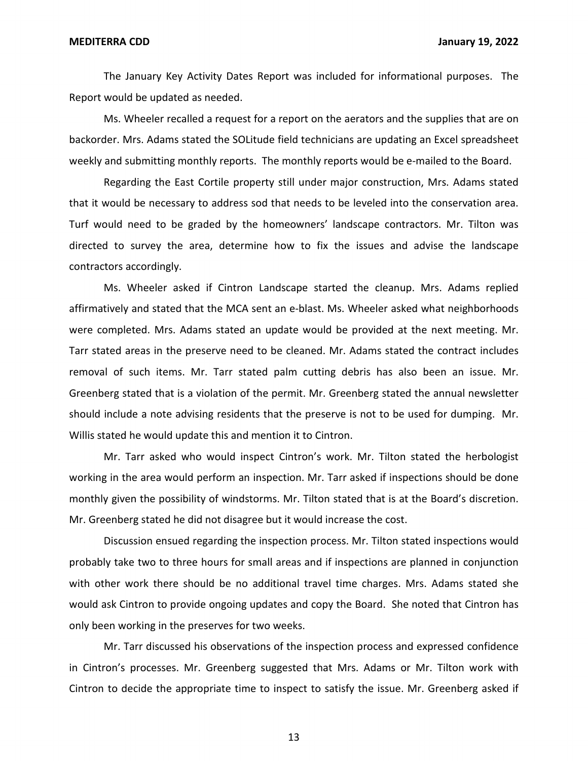The January Key Activity Dates Report was included for informational purposes. The Report would be updated as needed.

Ms. Wheeler recalled a request for a report on the aerators and the supplies that are on backorder. Mrs. Adams stated the SOLitude field technicians are updating an Excel spreadsheet weekly and submitting monthly reports. The monthly reports would be e-mailed to the Board.

Regarding the East Cortile property still under major construction, Mrs. Adams stated that it would be necessary to address sod that needs to be leveled into the conservation area. Turf would need to be graded by the homeowners' landscape contractors. Mr. Tilton was directed to survey the area, determine how to fix the issues and advise the landscape contractors accordingly.

Ms. Wheeler asked if Cintron Landscape started the cleanup. Mrs. Adams replied affirmatively and stated that the MCA sent an e-blast. Ms. Wheeler asked what neighborhoods were completed. Mrs. Adams stated an update would be provided at the next meeting. Mr. Tarr stated areas in the preserve need to be cleaned. Mr. Adams stated the contract includes removal of such items. Mr. Tarr stated palm cutting debris has also been an issue. Mr. Greenberg stated that is a violation of the permit. Mr. Greenberg stated the annual newsletter should include a note advising residents that the preserve is not to be used for dumping. Mr. Willis stated he would update this and mention it to Cintron.

Mr. Tarr asked who would inspect Cintron's work. Mr. Tilton stated the herbologist working in the area would perform an inspection. Mr. Tarr asked if inspections should be done monthly given the possibility of windstorms. Mr. Tilton stated that is at the Board's discretion. Mr. Greenberg stated he did not disagree but it would increase the cost.

Discussion ensued regarding the inspection process. Mr. Tilton stated inspections would probably take two to three hours for small areas and if inspections are planned in conjunction with other work there should be no additional travel time charges. Mrs. Adams stated she would ask Cintron to provide ongoing updates and copy the Board. She noted that Cintron has only been working in the preserves for two weeks.

Mr. Tarr discussed his observations of the inspection process and expressed confidence in Cintron's processes. Mr. Greenberg suggested that Mrs. Adams or Mr. Tilton work with Cintron to decide the appropriate time to inspect to satisfy the issue. Mr. Greenberg asked if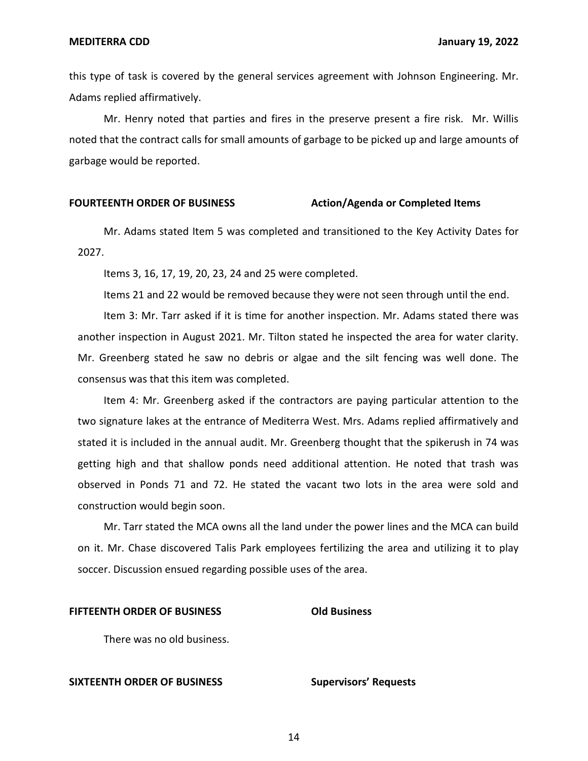this type of task is covered by the general services agreement with Johnson Engineering. Mr. Adams replied affirmatively.

Mr. Henry noted that parties and fires in the preserve present a fire risk. Mr. Willis noted that the contract calls for small amounts of garbage to be picked up and large amounts of garbage would be reported.

### **FOURTEENTH ORDER OF BUSINESS Action/Agenda or Completed Items**

Mr. Adams stated Item 5 was completed and transitioned to the Key Activity Dates for 2027.

Items 3, 16, 17, 19, 20, 23, 24 and 25 were completed.

Items 21 and 22 would be removed because they were not seen through until the end.

Item 3: Mr. Tarr asked if it is time for another inspection. Mr. Adams stated there was another inspection in August 2021. Mr. Tilton stated he inspected the area for water clarity. Mr. Greenberg stated he saw no debris or algae and the silt fencing was well done. The consensus was that this item was completed.

Item 4: Mr. Greenberg asked if the contractors are paying particular attention to the two signature lakes at the entrance of Mediterra West. Mrs. Adams replied affirmatively and stated it is included in the annual audit. Mr. Greenberg thought that the spikerush in 74 was getting high and that shallow ponds need additional attention. He noted that trash was observed in Ponds 71 and 72. He stated the vacant two lots in the area were sold and construction would begin soon.

Mr. Tarr stated the MCA owns all the land under the power lines and the MCA can build on it. Mr. Chase discovered Talis Park employees fertilizing the area and utilizing it to play soccer. Discussion ensued regarding possible uses of the area.

### **FIFTEENTH ORDER OF BUSINESS Old Business**

There was no old business.

### **SIXTEENTH ORDER OF BUSINESS Supervisors' Requests**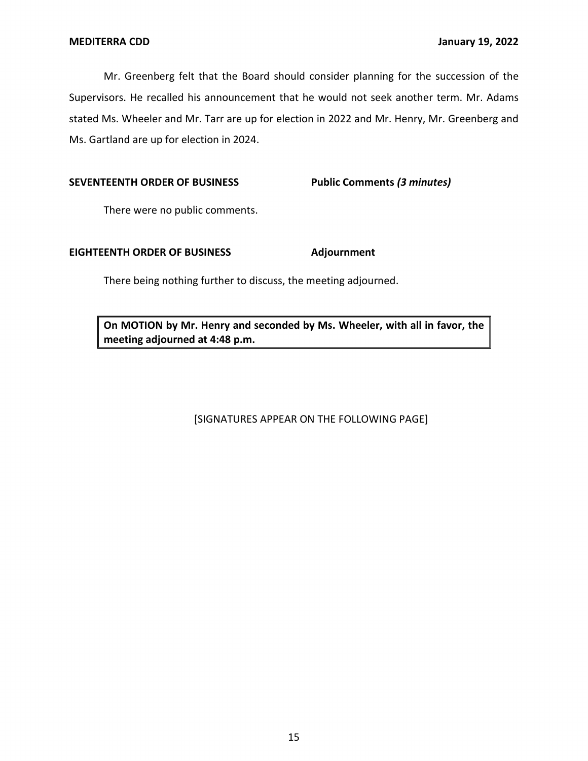Mr. Greenberg felt that the Board should consider planning for the succession of the Supervisors. He recalled his announcement that he would not seek another term. Mr. Adams stated Ms. Wheeler and Mr. Tarr are up for election in 2022 and Mr. Henry, Mr. Greenberg and Ms. Gartland are up for election in 2024.

## **SEVENTEENTH ORDER OF BUSINESS Public Comments** *(3 minutes)*

There were no public comments.

### **EIGHTEENTH ORDER OF BUSINESS Adjournment**

There being nothing further to discuss, the meeting adjourned.

**On MOTION by Mr. Henry and seconded by Ms. Wheeler, with all in favor, the meeting adjourned at 4:48 p.m.**

## [SIGNATURES APPEAR ON THE FOLLOWING PAGE]